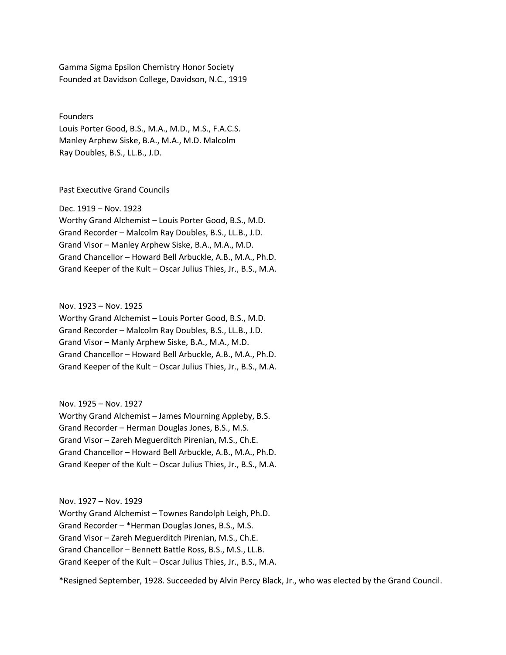Gamma Sigma Epsilon Chemistry Honor Society Founded at Davidson College, Davidson, N.C., 1919

Founders Louis Porter Good, B.S., M.A., M.D., M.S., F.A.C.S. Manley Arphew Siske, B.A., M.A., M.D. Malcolm Ray Doubles, B.S., LL.B., J.D.

Past Executive Grand Councils

Dec. 1919 – Nov. 1923 Worthy Grand Alchemist – Louis Porter Good, B.S., M.D. Grand Recorder – Malcolm Ray Doubles, B.S., LL.B., J.D. Grand Visor – Manley Arphew Siske, B.A., M.A., M.D. Grand Chancellor – Howard Bell Arbuckle, A.B., M.A., Ph.D. Grand Keeper of the Kult – Oscar Julius Thies, Jr., B.S., M.A.

Nov. 1923 – Nov. 1925

Worthy Grand Alchemist – Louis Porter Good, B.S., M.D. Grand Recorder – Malcolm Ray Doubles, B.S., LL.B., J.D. Grand Visor – Manly Arphew Siske, B.A., M.A., M.D. Grand Chancellor – Howard Bell Arbuckle, A.B., M.A., Ph.D. Grand Keeper of the Kult – Oscar Julius Thies, Jr., B.S., M.A.

Nov. 1925 – Nov. 1927

Worthy Grand Alchemist – James Mourning Appleby, B.S. Grand Recorder – Herman Douglas Jones, B.S., M.S. Grand Visor – Zareh Meguerditch Pirenian, M.S., Ch.E. Grand Chancellor – Howard Bell Arbuckle, A.B., M.A., Ph.D. Grand Keeper of the Kult – Oscar Julius Thies, Jr., B.S., M.A.

Nov. 1927 – Nov. 1929 Worthy Grand Alchemist – Townes Randolph Leigh, Ph.D. Grand Recorder – \*Herman Douglas Jones, B.S., M.S. Grand Visor – Zareh Meguerditch Pirenian, M.S., Ch.E. Grand Chancellor – Bennett Battle Ross, B.S., M.S., LL.B. Grand Keeper of the Kult – Oscar Julius Thies, Jr., B.S., M.A.

\*Resigned September, 1928. Succeeded by Alvin Percy Black, Jr., who was elected by the Grand Council.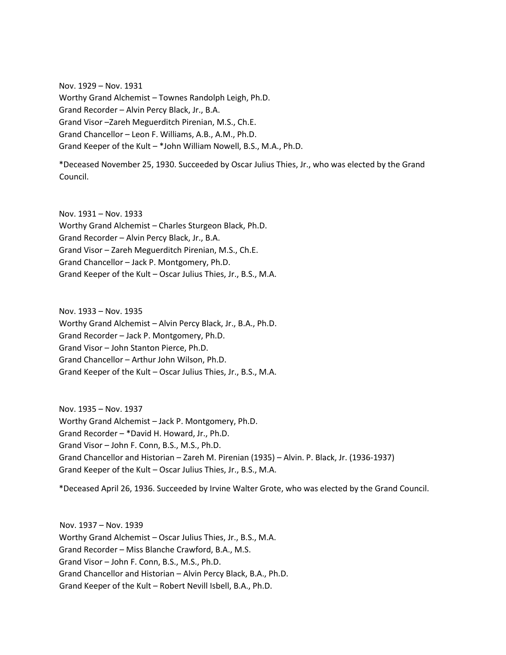Nov. 1929 – Nov. 1931 Worthy Grand Alchemist – Townes Randolph Leigh, Ph.D. Grand Recorder – Alvin Percy Black, Jr., B.A. Grand Visor –Zareh Meguerditch Pirenian, M.S., Ch.E. Grand Chancellor – Leon F. Williams, A.B., A.M., Ph.D. Grand Keeper of the Kult – \*John William Nowell, B.S., M.A., Ph.D.

\*Deceased November 25, 1930. Succeeded by Oscar Julius Thies, Jr., who was elected by the Grand Council.

Nov. 1931 – Nov. 1933 Worthy Grand Alchemist – Charles Sturgeon Black, Ph.D. Grand Recorder – Alvin Percy Black, Jr., B.A. Grand Visor – Zareh Meguerditch Pirenian, M.S., Ch.E. Grand Chancellor – Jack P. Montgomery, Ph.D. Grand Keeper of the Kult – Oscar Julius Thies, Jr., B.S., M.A.

Nov. 1933 – Nov. 1935 Worthy Grand Alchemist – Alvin Percy Black, Jr., B.A., Ph.D. Grand Recorder – Jack P. Montgomery, Ph.D. Grand Visor – John Stanton Pierce, Ph.D. Grand Chancellor – Arthur John Wilson, Ph.D. Grand Keeper of the Kult – Oscar Julius Thies, Jr., B.S., M.A.

Nov. 1935 – Nov. 1937 Worthy Grand Alchemist – Jack P. Montgomery, Ph.D. Grand Recorder – \*David H. Howard, Jr., Ph.D. Grand Visor – John F. Conn, B.S., M.S., Ph.D. Grand Chancellor and Historian – Zareh M. Pirenian (1935) – Alvin. P. Black, Jr. (1936-1937) Grand Keeper of the Kult – Oscar Julius Thies, Jr., B.S., M.A.

\*Deceased April 26, 1936. Succeeded by Irvine Walter Grote, who was elected by the Grand Council.

Nov. 1937 – Nov. 1939 Worthy Grand Alchemist – Oscar Julius Thies, Jr., B.S., M.A. Grand Recorder – Miss Blanche Crawford, B.A., M.S. Grand Visor – John F. Conn, B.S., M.S., Ph.D. Grand Chancellor and Historian – Alvin Percy Black, B.A., Ph.D. Grand Keeper of the Kult – Robert Nevill Isbell, B.A., Ph.D.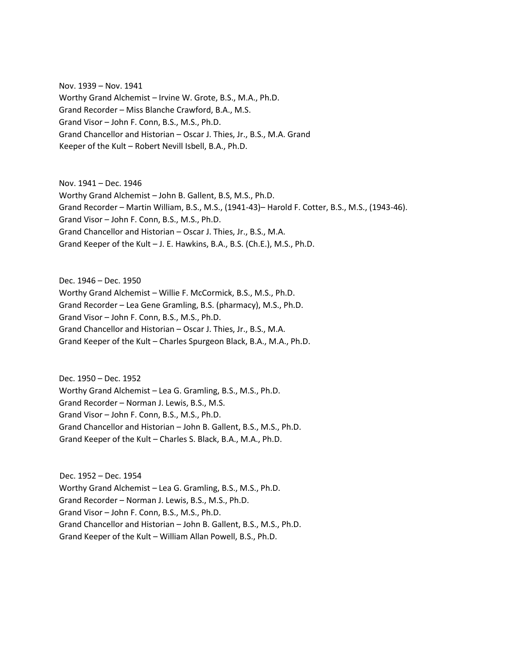Nov. 1939 – Nov. 1941 Worthy Grand Alchemist – Irvine W. Grote, B.S., M.A., Ph.D. Grand Recorder – Miss Blanche Crawford, B.A., M.S. Grand Visor – John F. Conn, B.S., M.S., Ph.D. Grand Chancellor and Historian – Oscar J. Thies, Jr., B.S., M.A. Grand Keeper of the Kult – Robert Nevill Isbell, B.A., Ph.D.

Nov. 1941 – Dec. 1946 Worthy Grand Alchemist – John B. Gallent, B.S, M.S., Ph.D. Grand Recorder – Martin William, B.S., M.S., (1941-43)– Harold F. Cotter, B.S., M.S., (1943-46). Grand Visor – John F. Conn, B.S., M.S., Ph.D. Grand Chancellor and Historian – Oscar J. Thies, Jr., B.S., M.A. Grand Keeper of the Kult – J. E. Hawkins, B.A., B.S. (Ch.E.), M.S., Ph.D.

Dec. 1946 – Dec. 1950 Worthy Grand Alchemist – Willie F. McCormick, B.S., M.S., Ph.D. Grand Recorder – Lea Gene Gramling, B.S. (pharmacy), M.S., Ph.D. Grand Visor – John F. Conn, B.S., M.S., Ph.D. Grand Chancellor and Historian – Oscar J. Thies, Jr., B.S., M.A. Grand Keeper of the Kult – Charles Spurgeon Black, B.A., M.A., Ph.D.

Dec. 1950 – Dec. 1952 Worthy Grand Alchemist – Lea G. Gramling, B.S., M.S., Ph.D. Grand Recorder – Norman J. Lewis, B.S., M.S. Grand Visor – John F. Conn, B.S., M.S., Ph.D. Grand Chancellor and Historian – John B. Gallent, B.S., M.S., Ph.D. Grand Keeper of the Kult – Charles S. Black, B.A., M.A., Ph.D.

Dec. 1952 – Dec. 1954 Worthy Grand Alchemist – Lea G. Gramling, B.S., M.S., Ph.D. Grand Recorder – Norman J. Lewis, B.S., M.S., Ph.D. Grand Visor – John F. Conn, B.S., M.S., Ph.D. Grand Chancellor and Historian – John B. Gallent, B.S., M.S., Ph.D. Grand Keeper of the Kult – William Allan Powell, B.S., Ph.D.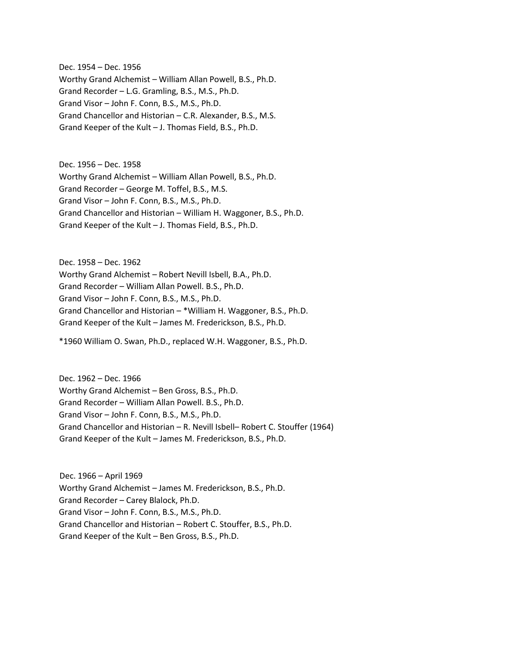Dec. 1954 – Dec. 1956 Worthy Grand Alchemist – William Allan Powell, B.S., Ph.D. Grand Recorder – L.G. Gramling, B.S., M.S., Ph.D. Grand Visor – John F. Conn, B.S., M.S., Ph.D. Grand Chancellor and Historian – C.R. Alexander, B.S., M.S. Grand Keeper of the Kult – J. Thomas Field, B.S., Ph.D.

Dec. 1956 – Dec. 1958 Worthy Grand Alchemist – William Allan Powell, B.S., Ph.D. Grand Recorder – George M. Toffel, B.S., M.S. Grand Visor – John F. Conn, B.S., M.S., Ph.D. Grand Chancellor and Historian – William H. Waggoner, B.S., Ph.D. Grand Keeper of the Kult – J. Thomas Field, B.S., Ph.D.

Dec. 1958 – Dec. 1962 Worthy Grand Alchemist – Robert Nevill Isbell, B.A., Ph.D. Grand Recorder – William Allan Powell. B.S., Ph.D. Grand Visor – John F. Conn, B.S., M.S., Ph.D. Grand Chancellor and Historian – \*William H. Waggoner, B.S., Ph.D. Grand Keeper of the Kult – James M. Frederickson, B.S., Ph.D.

\*1960 William O. Swan, Ph.D., replaced W.H. Waggoner, B.S., Ph.D.

Dec. 1962 – Dec. 1966 Worthy Grand Alchemist – Ben Gross, B.S., Ph.D. Grand Recorder – William Allan Powell. B.S., Ph.D. Grand Visor – John F. Conn, B.S., M.S., Ph.D. Grand Chancellor and Historian – R. Nevill Isbell– Robert C. Stouffer (1964) Grand Keeper of the Kult – James M. Frederickson, B.S., Ph.D.

Dec. 1966 – April 1969 Worthy Grand Alchemist – James M. Frederickson, B.S., Ph.D. Grand Recorder – Carey Blalock, Ph.D. Grand Visor – John F. Conn, B.S., M.S., Ph.D. Grand Chancellor and Historian – Robert C. Stouffer, B.S., Ph.D. Grand Keeper of the Kult – Ben Gross, B.S., Ph.D.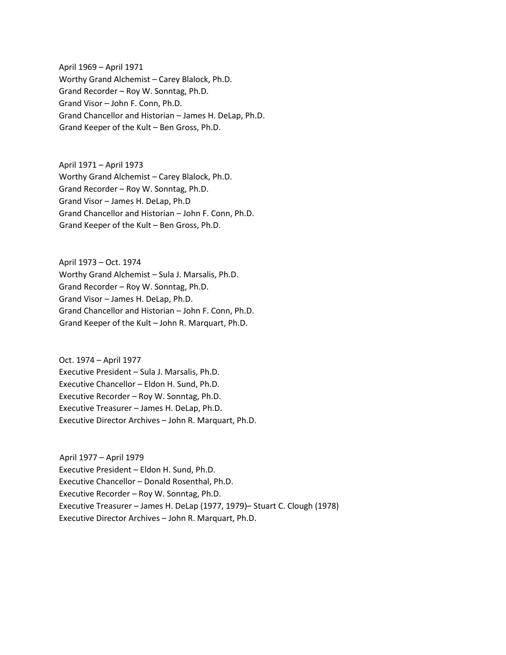April 1969 – April 1971 Worthy Grand Alchemist – Carey Blalock, Ph.D. Grand Recorder – Roy W. Sonntag, Ph.D. Grand Visor – John F. Conn, Ph.D. Grand Chancellor and Historian – James H. DeLap, Ph.D. Grand Keeper of the Kult – Ben Gross, Ph.D.

April 1971 – April 1973 Worthy Grand Alchemist – Carey Blalock, Ph.D. Grand Recorder – Roy W. Sonntag, Ph.D. Grand Visor – James H. DeLap, Ph.D Grand Chancellor and Historian – John F. Conn, Ph.D. Grand Keeper of the Kult – Ben Gross, Ph.D.

April 1973 – Oct. 1974 Worthy Grand Alchemist – Sula J. Marsalis, Ph.D. Grand Recorder – Roy W. Sonntag, Ph.D. Grand Visor – James H. DeLap, Ph.D. Grand Chancellor and Historian – John F. Conn, Ph.D. Grand Keeper of the Kult – John R. Marquart, Ph.D.

Oct. 1974 – April 1977 Executive President – Sula J. Marsalis, Ph.D. Executive Chancellor – Eldon H. Sund, Ph.D. Executive Recorder – Roy W. Sonntag, Ph.D. Executive Treasurer – James H. DeLap, Ph.D. Executive Director Archives – John R. Marquart, Ph.D.

April 1977 – April 1979 Executive President – Eldon H. Sund, Ph.D. Executive Chancellor – Donald Rosenthal, Ph.D. Executive Recorder – Roy W. Sonntag, Ph.D. Executive Treasurer – James H. DeLap (1977, 1979)– Stuart C. Clough (1978) Executive Director Archives – John R. Marquart, Ph.D.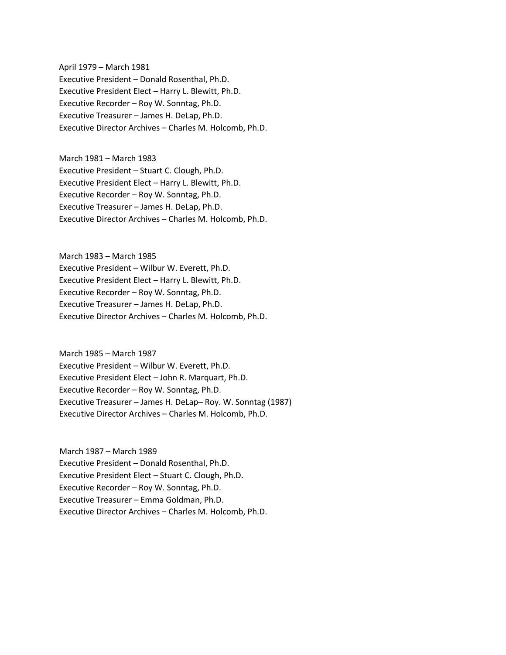April 1979 – March 1981 Executive President – Donald Rosenthal, Ph.D. Executive President Elect – Harry L. Blewitt, Ph.D. Executive Recorder – Roy W. Sonntag, Ph.D. Executive Treasurer – James H. DeLap, Ph.D. Executive Director Archives – Charles M. Holcomb, Ph.D.

March 1981 – March 1983 Executive President – Stuart C. Clough, Ph.D. Executive President Elect – Harry L. Blewitt, Ph.D. Executive Recorder – Roy W. Sonntag, Ph.D. Executive Treasurer – James H. DeLap, Ph.D. Executive Director Archives – Charles M. Holcomb, Ph.D.

March 1983 – March 1985 Executive President – Wilbur W. Everett, Ph.D. Executive President Elect – Harry L. Blewitt, Ph.D. Executive Recorder – Roy W. Sonntag, Ph.D. Executive Treasurer – James H. DeLap, Ph.D. Executive Director Archives – Charles M. Holcomb, Ph.D.

March 1985 – March 1987 Executive President – Wilbur W. Everett, Ph.D. Executive President Elect – John R. Marquart, Ph.D. Executive Recorder – Roy W. Sonntag, Ph.D. Executive Treasurer – James H. DeLap– Roy. W. Sonntag (1987) Executive Director Archives – Charles M. Holcomb, Ph.D.

March 1987 – March 1989 Executive President – Donald Rosenthal, Ph.D. Executive President Elect – Stuart C. Clough, Ph.D. Executive Recorder – Roy W. Sonntag, Ph.D. Executive Treasurer – Emma Goldman, Ph.D. Executive Director Archives – Charles M. Holcomb, Ph.D.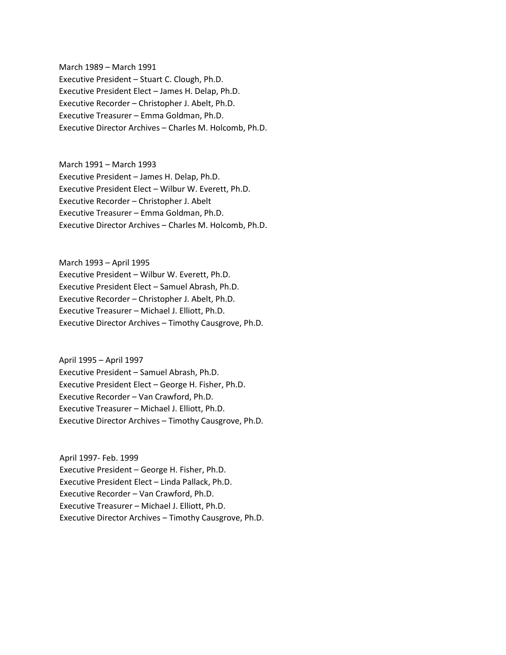March 1989 – March 1991 Executive President – Stuart C. Clough, Ph.D. Executive President Elect – James H. Delap, Ph.D. Executive Recorder – Christopher J. Abelt, Ph.D. Executive Treasurer – Emma Goldman, Ph.D. Executive Director Archives – Charles M. Holcomb, Ph.D.

March 1991 – March 1993 Executive President – James H. Delap, Ph.D. Executive President Elect – Wilbur W. Everett, Ph.D. Executive Recorder – Christopher J. Abelt Executive Treasurer – Emma Goldman, Ph.D. Executive Director Archives – Charles M. Holcomb, Ph.D.

March 1993 – April 1995 Executive President – Wilbur W. Everett, Ph.D. Executive President Elect – Samuel Abrash, Ph.D. Executive Recorder – Christopher J. Abelt, Ph.D. Executive Treasurer – Michael J. Elliott, Ph.D. Executive Director Archives – Timothy Causgrove, Ph.D.

April 1995 – April 1997 Executive President – Samuel Abrash, Ph.D. Executive President Elect – George H. Fisher, Ph.D. Executive Recorder – Van Crawford, Ph.D. Executive Treasurer – Michael J. Elliott, Ph.D. Executive Director Archives – Timothy Causgrove, Ph.D.

April 1997- Feb. 1999 Executive President – George H. Fisher, Ph.D. Executive President Elect – Linda Pallack, Ph.D. Executive Recorder – Van Crawford, Ph.D. Executive Treasurer – Michael J. Elliott, Ph.D. Executive Director Archives – Timothy Causgrove, Ph.D.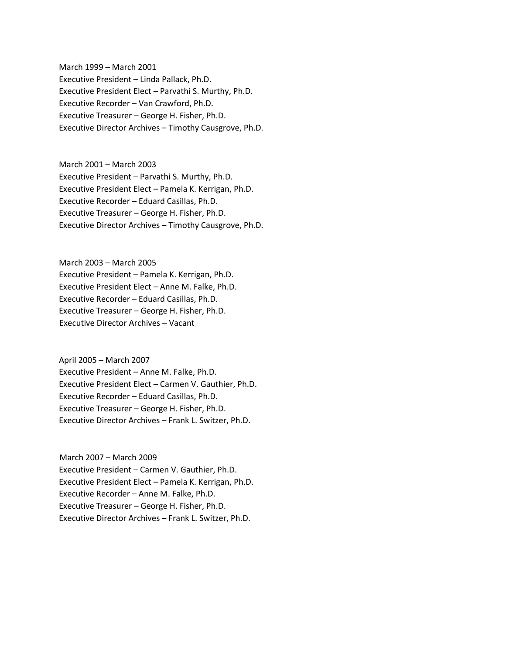March 1999 – March 2001 Executive President – Linda Pallack, Ph.D. Executive President Elect – Parvathi S. Murthy, Ph.D. Executive Recorder – Van Crawford, Ph.D. Executive Treasurer – George H. Fisher, Ph.D. Executive Director Archives – Timothy Causgrove, Ph.D.

March 2001 – March 2003 Executive President – Parvathi S. Murthy, Ph.D. Executive President Elect – Pamela K. Kerrigan, Ph.D. Executive Recorder – Eduard Casillas, Ph.D. Executive Treasurer – George H. Fisher, Ph.D. Executive Director Archives – Timothy Causgrove, Ph.D.

March 2003 – March 2005 Executive President – Pamela K. Kerrigan, Ph.D. Executive President Elect – Anne M. Falke, Ph.D. Executive Recorder – Eduard Casillas, Ph.D. Executive Treasurer – George H. Fisher, Ph.D. Executive Director Archives – Vacant

April 2005 – March 2007 Executive President – Anne M. Falke, Ph.D. Executive President Elect – Carmen V. Gauthier, Ph.D. Executive Recorder – Eduard Casillas, Ph.D. Executive Treasurer – George H. Fisher, Ph.D. Executive Director Archives – Frank L. Switzer, Ph.D.

March 2007 – March 2009 Executive President – Carmen V. Gauthier, Ph.D. Executive President Elect – Pamela K. Kerrigan, Ph.D. Executive Recorder – Anne M. Falke, Ph.D. Executive Treasurer – George H. Fisher, Ph.D. Executive Director Archives – Frank L. Switzer, Ph.D.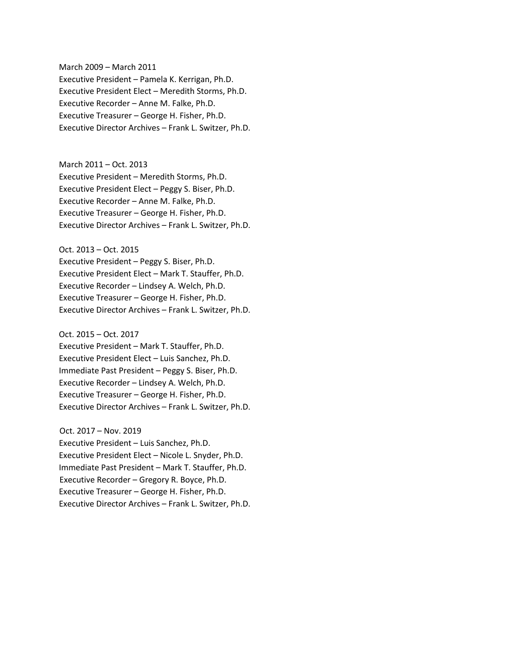March 2009 – March 2011 Executive President – Pamela K. Kerrigan, Ph.D. Executive President Elect – Meredith Storms, Ph.D. Executive Recorder – Anne M. Falke, Ph.D. Executive Treasurer – George H. Fisher, Ph.D. Executive Director Archives – Frank L. Switzer, Ph.D.

## March 2011 – Oct. 2013

Executive President – Meredith Storms, Ph.D. Executive President Elect – Peggy S. Biser, Ph.D. Executive Recorder – Anne M. Falke, Ph.D. Executive Treasurer – George H. Fisher, Ph.D. Executive Director Archives – Frank L. Switzer, Ph.D.

## Oct. 2013 – Oct. 2015

Executive President – Peggy S. Biser, Ph.D. Executive President Elect – Mark T. Stauffer, Ph.D. Executive Recorder – Lindsey A. Welch, Ph.D. Executive Treasurer – George H. Fisher, Ph.D. Executive Director Archives – Frank L. Switzer, Ph.D.

## Oct. 2015 – Oct. 2017

Executive President – Mark T. Stauffer, Ph.D. Executive President Elect – Luis Sanchez, Ph.D. Immediate Past President – Peggy S. Biser, Ph.D. Executive Recorder – Lindsey A. Welch, Ph.D. Executive Treasurer – George H. Fisher, Ph.D. Executive Director Archives – Frank L. Switzer, Ph.D.

Oct. 2017 – Nov. 2019 Executive President – Luis Sanchez, Ph.D. Executive President Elect – Nicole L. Snyder, Ph.D. Immediate Past President – Mark T. Stauffer, Ph.D. Executive Recorder – Gregory R. Boyce, Ph.D. Executive Treasurer – George H. Fisher, Ph.D. Executive Director Archives – Frank L. Switzer, Ph.D.